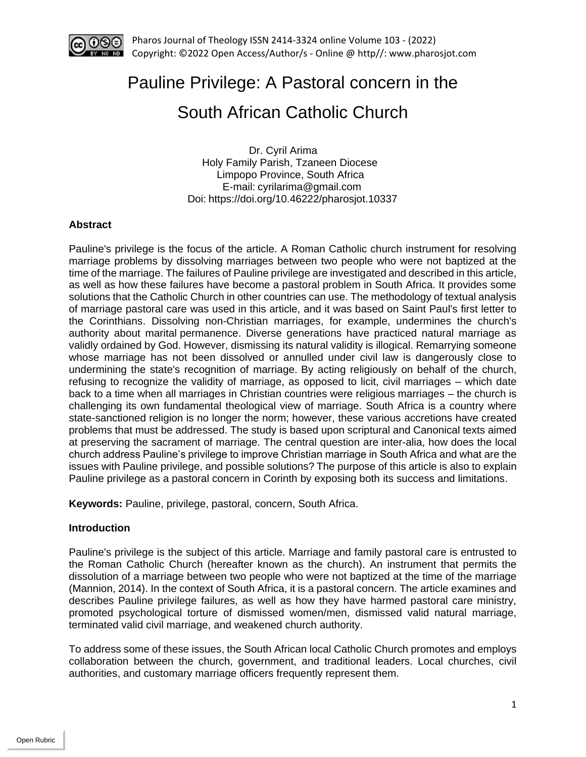

# Pauline Privilege: A Pastoral concern in the

# South African Catholic Church

 Dr. Cyril Arima Holy Family Parish, Tzaneen Diocese Limpopo Province, South Africa E-mail: [cyrilarima@gmail.com](mailto:cyrilarima@gmail.com) Doi: https://doi.org/10.46222/pharosjot.10337

# **Abstract**

Pauline's privilege is the focus of the article. A Roman Catholic church instrument for resolving marriage problems by dissolving marriages between two people who were not baptized at the time of the marriage. The failures of Pauline privilege are investigated and described in this article, as well as how these failures have become a pastoral problem in South Africa. It provides some solutions that the Catholic Church in other countries can use. The methodology of textual analysis of marriage pastoral care was used in this article, and it was based on Saint Paul's first letter to the Corinthians. Dissolving non-Christian marriages, for example, undermines the church's authority about marital permanence. Diverse generations have practiced natural marriage as validly ordained by God. However, dismissing its natural validity is illogical. Remarrying someone whose marriage has not been dissolved or annulled under civil law is dangerously close to undermining the state's recognition of marriage. By acting religiously on behalf of the church, refusing to recognize the validity of marriage, as opposed to licit, civil marriages – which date back to a time when all marriages in Christian countries were religious marriages – the church is challenging its own fundamental theological view of marriage. South Africa is a country where state-sanctioned religion is no longer the norm; however, these various accretions have created problems that must be addressed. The study is based upon scriptural and Canonical texts aimed at preserving the sacrament of marriage. The central question are inter-alia, how does the local church address Pauline's privilege to improve Christian marriage in South Africa and what are the issues with Pauline privilege, and possible solutions? The purpose of this article is also to explain Pauline privilege as a pastoral concern in Corinth by exposing both its success and limitations.

**Keywords:** Pauline, privilege, pastoral, concern, South Africa.

# **Introduction**

Pauline's privilege is the subject of this article. Marriage and family pastoral care is entrusted to the Roman Catholic Church (hereafter known as the church). An instrument that permits the dissolution of a marriage between two people who were not baptized at the time of the marriage (Mannion, 2014). In the context of South Africa, it is a pastoral concern. The article examines and describes Pauline privilege failures, as well as how they have harmed pastoral care ministry, promoted psychological torture of dismissed women/men, dismissed valid natural marriage, terminated valid civil marriage, and weakened church authority.

To address some of these issues, the South African local Catholic Church promotes and employs collaboration between the church, government, and traditional leaders. Local churches, civil authorities, and customary marriage officers frequently represent them.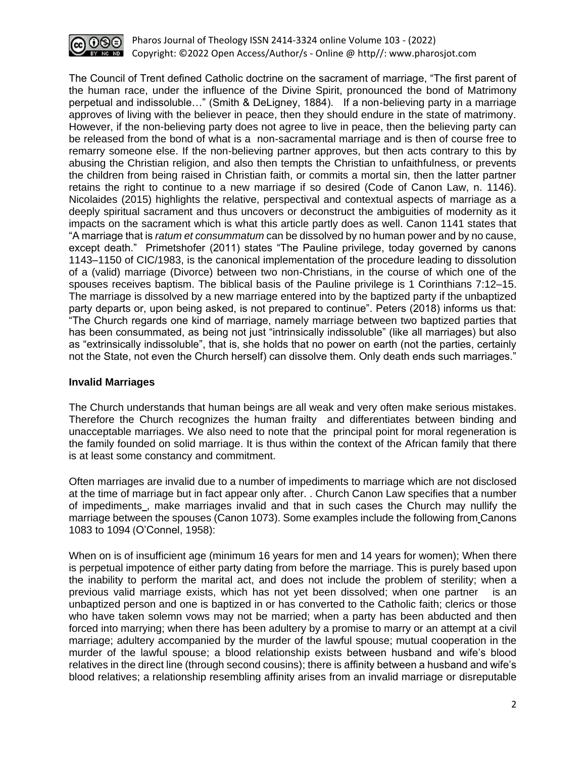

The Council of Trent defined Catholic doctrine on the sacrament of marriage, "The first parent of the human race, under the influence of the Divine Spirit, pronounced the bond of Matrimony perpetual and indissoluble…" (Smith & DeLigney, 1884). If a non-believing party in a marriage approves of living with the believer in peace, then they should endure in the state of matrimony. However, if the non-believing party does not agree to live in peace, then the believing party can be released from the bond of what is a non-sacramental marriage and is then of course free to remarry someone else. If the non-believing partner approves, but then acts contrary to this by abusing the Christian religion, and also then tempts the Christian to unfaithfulness, or prevents the children from being raised in Christian faith, or commits a mortal sin, then the latter partner retains the right to continue to a new marriage if so desired (Code of Canon Law, n. 1146). Nicolaides (2015) highlights the relative, perspectival and contextual aspects of marriage as a deeply spiritual sacrament and thus uncovers or deconstruct the ambiguities of modernity as it impacts on the sacrament which is what this article partly does as well. Canon 1141 states that "A marriage that is *ratum et consummatum* can be dissolved by no human power and by no cause, except death." Primetshofer (2011) states "The Pauline privilege, today governed by canons 1143–1150 of CIC/1983, is the canonical implementation of the procedure leading to dissolution of a (valid) marriage (Divorce) between two non-Christians, in the course of which one of the spouses receives baptism. The biblical basis of the Pauline privilege is 1 Corinthians 7:12–15. The marriage is dissolved by a new marriage entered into by the baptized party if the unbaptized party departs or, upon being asked, is not prepared to continue". Peters (2018) informs us that: "The Church regards one kind of marriage, namely marriage between two baptized parties that has been consummated, as being not just "intrinsically indissoluble" (like all marriages) but also as "extrinsically indissoluble", that is, she holds that no power on earth (not the parties, certainly not the State, not even the Church herself) can dissolve them. Only death ends such marriages."

## **Invalid Marriages**

The Church understands that human beings are all weak and very often make serious mistakes. Therefore the Church recognizes the human frailty and differentiates between binding and unacceptable marriages. We also need to note that the principal point for moral regeneration is the family founded on solid marriage. It is thus within the context of the African family that there is at least some constancy and commitment.

Often marriages are invalid due to a number of impediments to marriage which are not disclosed at the time of marriage but in fact appear only after. . Church Canon Law specifies that a number of impediments [,](https://www.catholicculture.org/culture/library/view.cfm?id=7272#_ftn6) make marriages invalid and that in such cases the Church may nullify the marriage between the spouses (Canon 1073). Some examples include the following from Canons 1083 to 1094 (O'Connel, 1958):

When on is of insufficient age (minimum 16 years for men and 14 years for women); When there is perpetual impotence of either party dating from before the marriage. This is purely based upon the inability to perform the marital act, and does not include the problem of sterility; when a previous valid marriage exists, which has not yet been dissolved; when one partner is an unbaptized person and one is baptized in or has converted to the Catholic faith; clerics or those who have taken solemn vows may not be married; when a party has been abducted and then forced into marrying; when there has been adultery by a promise to marry or an attempt at a civil marriage; adultery accompanied by the murder of the lawful spouse; mutual cooperation in the murder of the lawful spouse; a blood relationship exists between husband and wife's blood relatives in the direct line (through second cousins); there is affinity between a husband and wife's blood relatives; a relationship resembling affinity arises from an invalid marriage or disreputable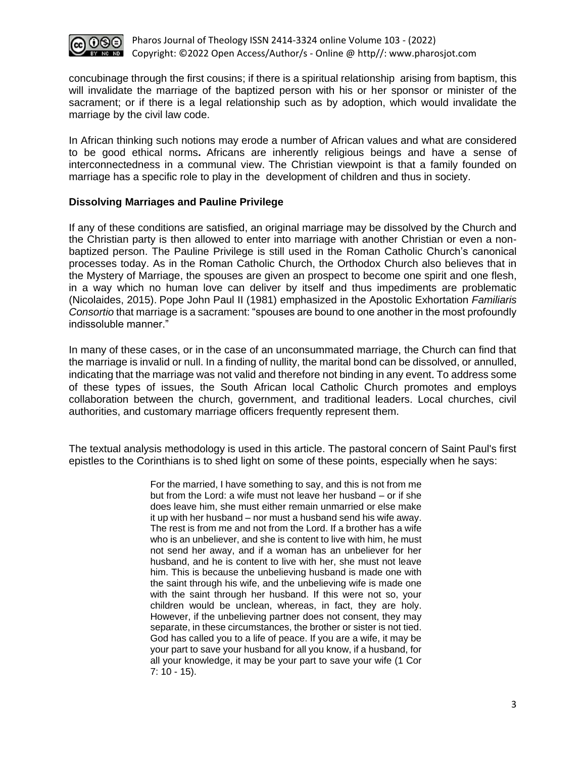

concubinage through the first cousins; if there is a spiritual relationship arising from baptism, this will invalidate the marriage of the baptized person with his or her sponsor or minister of the sacrament; or if there is a legal relationship such as by adoption, which would invalidate the marriage by the civil law code.

In African thinking such notions may erode a number of African values and what are considered to be good ethical norms**.** Africans are inherently religious beings and have a sense of interconnectedness in a communal view. The Christian viewpoint is that a family founded on marriage has a specific role to play in the development of children and thus in society.

#### **Dissolving Marriages and Pauline Privilege**

If any of these conditions are satisfied, an original marriage may be dissolved by the Church and the Christian party is then allowed to enter into marriage with another Christian or even a nonbaptized person. The Pauline Privilege is still used in the Roman Catholic Church's canonical processes today. As in the Roman Catholic Church, the Orthodox Church also believes that in the Mystery of Marriage, the spouses are given an prospect to become one spirit and one flesh, in a way which no human love can deliver by itself and thus impediments are problematic (Nicolaides, 2015). Pope John Paul II (1981) emphasized in the Apostolic Exhortation *Familiaris Consortio* that marriage is a sacrament: "spouses are bound to one another in the most profoundly indissoluble manner."

In many of these cases, or in the case of an unconsummated marriage, the Church can find that the marriage is invalid or null. In a finding of nullity, the marital bond can be dissolved, or annulled, indicating that the marriage was not valid and therefore not binding in any event. To address some of these types of issues, the South African local Catholic Church promotes and employs collaboration between the church, government, and traditional leaders. Local churches, civil authorities, and customary marriage officers frequently represent them.

The textual analysis methodology is used in this article. The pastoral concern of Saint Paul's first epistles to the Corinthians is to shed light on some of these points, especially when he says:

> For the married, I have something to say, and this is not from me but from the Lord: a wife must not leave her husband – or if she does leave him, she must either remain unmarried or else make it up with her husband – nor must a husband send his wife away. The rest is from me and not from the Lord. If a brother has a wife who is an unbeliever, and she is content to live with him, he must not send her away, and if a woman has an unbeliever for her husband, and he is content to live with her, she must not leave him. This is because the unbelieving husband is made one with the saint through his wife, and the unbelieving wife is made one with the saint through her husband. If this were not so, your children would be unclean, whereas, in fact, they are holy. However, if the unbelieving partner does not consent, they may separate, in these circumstances, the brother or sister is not tied. God has called you to a life of peace. If you are a wife, it may be your part to save your husband for all you know, if a husband, for all your knowledge, it may be your part to save your wife (1 Cor  $7: 10 - 15$ ).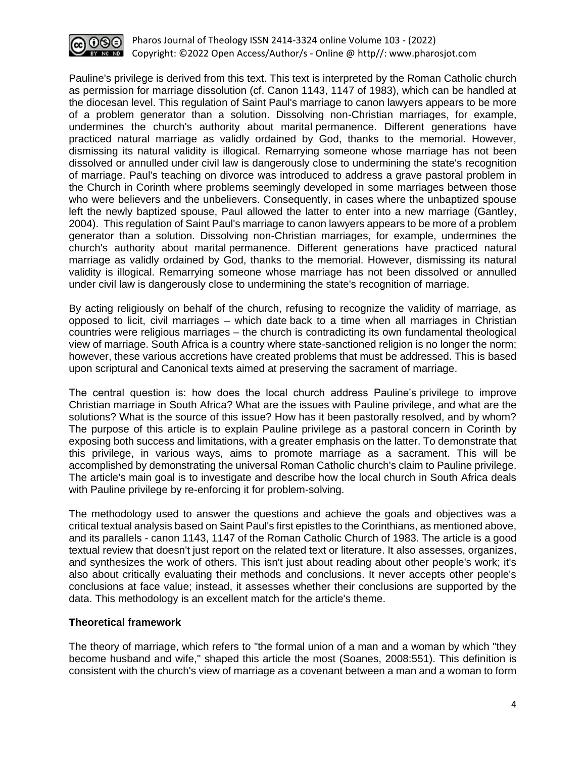

Pauline's privilege is derived from this text. This text is interpreted by the Roman Catholic church as permission for marriage dissolution (cf. Canon 1143, 1147 of 1983), which can be handled at the diocesan level. This regulation of Saint Paul's marriage to canon lawyers appears to be more of a problem generator than a solution. Dissolving non-Christian marriages, for example, undermines the church's authority about marital permanence. Different generations have practiced natural marriage as validly ordained by God, thanks to the memorial. However, dismissing its natural validity is illogical. Remarrying someone whose marriage has not been dissolved or annulled under civil law is dangerously close to undermining the state's recognition of marriage. Paul's teaching on divorce was introduced to address a grave pastoral problem in the Church in Corinth where problems seemingly developed in some marriages between those who were believers and the unbelievers. Consequently, in cases where the unbaptized spouse left the newly baptized spouse, Paul allowed the latter to enter into a new marriage (Gantley, 2004). This regulation of Saint Paul's marriage to canon lawyers appears to be more of a problem generator than a solution. Dissolving non-Christian marriages, for example, undermines the church's authority about marital permanence. Different generations have practiced natural marriage as validly ordained by God, thanks to the memorial. However, dismissing its natural validity is illogical. Remarrying someone whose marriage has not been dissolved or annulled under civil law is dangerously close to undermining the state's recognition of marriage.

By acting religiously on behalf of the church, refusing to recognize the validity of marriage, as opposed to licit, civil marriages – which date back to a time when all marriages in Christian countries were religious marriages – the church is contradicting its own fundamental theological view of marriage. South Africa is a country where state-sanctioned religion is no longer the norm; however, these various accretions have created problems that must be addressed. This is based upon scriptural and Canonical texts aimed at preserving the sacrament of marriage.

The central question is: how does the local church address Pauline's privilege to improve Christian marriage in South Africa? What are the issues with Pauline privilege, and what are the solutions? What is the source of this issue? How has it been pastorally resolved, and by whom? The purpose of this article is to explain Pauline privilege as a pastoral concern in Corinth by exposing both success and limitations, with a greater emphasis on the latter. To demonstrate that this privilege, in various ways, aims to promote marriage as a sacrament. This will be accomplished by demonstrating the universal Roman Catholic church's claim to Pauline privilege. The article's main goal is to investigate and describe how the local church in South Africa deals with Pauline privilege by re-enforcing it for problem-solving.

The methodology used to answer the questions and achieve the goals and objectives was a critical textual analysis based on Saint Paul's first epistles to the Corinthians, as mentioned above, and its parallels - canon 1143, 1147 of the Roman Catholic Church of 1983. The article is a good textual review that doesn't just report on the related text or literature. It also assesses, organizes, and synthesizes the work of others. This isn't just about reading about other people's work; it's also about critically evaluating their methods and conclusions. It never accepts other people's conclusions at face value; instead, it assesses whether their conclusions are supported by the data. This methodology is an excellent match for the article's theme.

#### **Theoretical framework**

The theory of marriage, which refers to "the formal union of a man and a woman by which "they become husband and wife," shaped this article the most (Soanes, 2008:551). This definition is consistent with the church's view of marriage as a covenant between a man and a woman to form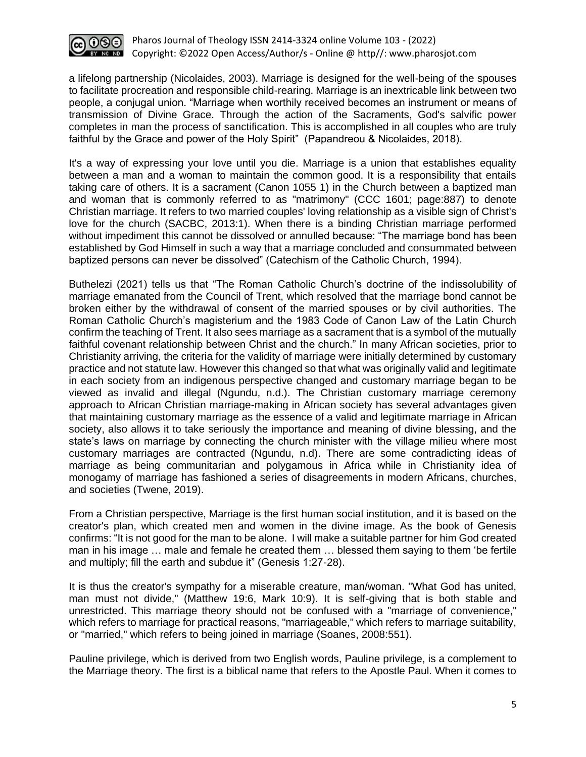

a lifelong partnership (Nicolaides, 2003). Marriage is designed for the well-being of the spouses to facilitate procreation and responsible child-rearing. Marriage is an inextricable link between two people, a conjugal union. "Marriage when worthily received becomes an instrument or means of transmission of Divine Grace. Through the action of the Sacraments, God's salvific power completes in man the process of sanctification. This is accomplished in all couples who are truly faithful by the Grace and power of the Holy Spirit" (Papandreou & Nicolaides, 2018).

It's a way of expressing your love until you die. Marriage is a union that establishes equality between a man and a woman to maintain the common good. It is a responsibility that entails taking care of others. It is a sacrament (Canon 1055 1) in the Church between a baptized man and woman that is commonly referred to as "matrimony" (CCC 1601; page:887) to denote Christian marriage. It refers to two married couples' loving relationship as a visible sign of Christ's love for the church (SACBC, 2013:1). When there is a binding Christian marriage performed without impediment this cannot be dissolved or annulled because: "The marriage bond has been established by God Himself in such a way that a marriage concluded and consummated between baptized persons can never be dissolved" (Catechism of the Catholic Church, 1994).

Buthelezi (2021) tells us that "The Roman Catholic Church's doctrine of the indissolubility of marriage emanated from the Council of Trent, which resolved that the marriage bond cannot be broken either by the withdrawal of consent of the married spouses or by civil authorities. The Roman Catholic Church's magisterium and the 1983 Code of Canon Law of the Latin Church confirm the teaching of Trent. It also sees marriage as a sacrament that is a symbol of the mutually faithful covenant relationship between Christ and the church." In many African societies, prior to Christianity arriving, the criteria for the validity of marriage were initially determined by customary practice and not statute law. However this changed so that what was originally valid and legitimate in each society from an indigenous perspective changed and customary marriage began to be viewed as invalid and illegal (Ngundu, n.d.). The Christian customary marriage ceremony approach to African Christian marriage-making in African society has several advantages given that maintaining customary marriage as the essence of a valid and legitimate marriage in African society, also allows it to take seriously the importance and meaning of divine blessing, and the state's laws on marriage by connecting the church minister with the village milieu where most customary marriages are contracted (Ngundu, n.d). There are some contradicting ideas of marriage as being communitarian and polygamous in Africa while in Christianity idea of monogamy of marriage has fashioned a series of disagreements in modern Africans, churches, and societies (Twene, 2019).

From a Christian perspective, Marriage is the first human social institution, and it is based on the creator's plan, which created men and women in the divine image. As the book of Genesis confirms: "It is not good for the man to be alone. I will make a suitable partner for him God created man in his image … male and female he created them … blessed them saying to them 'be fertile and multiply; fill the earth and subdue it" (Genesis 1:27-28).

It is thus the creator's sympathy for a miserable creature, man/woman. "What God has united, man must not divide," (Matthew 19:6, Mark 10:9). It is self-giving that is both stable and unrestricted. This marriage theory should not be confused with a "marriage of convenience," which refers to marriage for practical reasons, "marriageable," which refers to marriage suitability, or "married," which refers to being joined in marriage (Soanes, 2008:551).

Pauline privilege, which is derived from two English words, Pauline privilege, is a complement to the Marriage theory. The first is a biblical name that refers to the Apostle Paul. When it comes to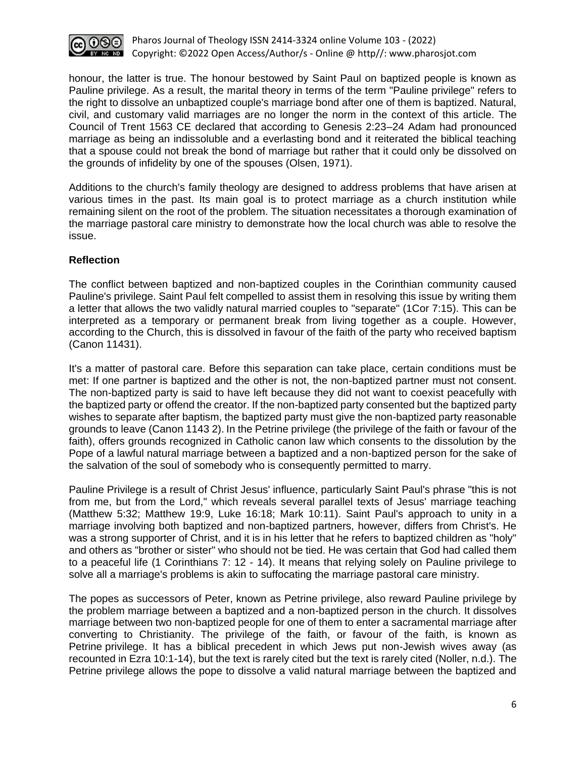

honour, the latter is true. The honour bestowed by Saint Paul on baptized people is known as Pauline privilege. As a result, the marital theory in terms of the term "Pauline privilege" refers to the right to dissolve an unbaptized couple's marriage bond after one of them is baptized. Natural, civil, and customary valid marriages are no longer the norm in the context of this article. The Council of Trent 1563 CE declared that according to Genesis 2:23–24 Adam had pronounced marriage as being an indissoluble and a everlasting bond and it reiterated the biblical teaching that a spouse could not break the bond of marriage but rather that it could only be dissolved on the grounds of infidelity by one of the spouses (Olsen, 1971).

Additions to the church's family theology are designed to address problems that have arisen at various times in the past. Its main goal is to protect marriage as a church institution while remaining silent on the root of the problem. The situation necessitates a thorough examination of the marriage pastoral care ministry to demonstrate how the local church was able to resolve the issue.

# **Reflection**

The conflict between baptized and non-baptized couples in the Corinthian community caused Pauline's privilege. Saint Paul felt compelled to assist them in resolving this issue by writing them a letter that allows the two validly natural married couples to "separate" (1Cor 7:15). This can be interpreted as a temporary or permanent break from living together as a couple. However, according to the Church, this is dissolved in favour of the faith of the party who received baptism (Canon 11431).

It's a matter of pastoral care. Before this separation can take place, certain conditions must be met: If one partner is baptized and the other is not, the non-baptized partner must not consent. The non-baptized party is said to have left because they did not want to coexist peacefully with the baptized party or offend the creator. If the non-baptized party consented but the baptized party wishes to separate after baptism, the baptized party must give the non-baptized party reasonable grounds to leave (Canon 1143 2). In the Petrine privilege (the privilege of the faith or favour of the faith), offers grounds recognized in Catholic canon law which consents to the dissolution by the Pope of a lawful natural marriage between a baptized and a non-baptized person for the sake of the salvation of the soul of somebody who is consequently permitted to marry.

Pauline Privilege is a result of Christ Jesus' influence, particularly Saint Paul's phrase "this is not from me, but from the Lord," which reveals several parallel texts of Jesus' marriage teaching (Matthew 5:32; Matthew 19:9, Luke 16:18; Mark 10:11). Saint Paul's approach to unity in a marriage involving both baptized and non-baptized partners, however, differs from Christ's. He was a strong supporter of Christ, and it is in his letter that he refers to baptized children as "holy" and others as "brother or sister" who should not be tied. He was certain that God had called them to a peaceful life (1 Corinthians 7: 12 - 14). It means that relying solely on Pauline privilege to solve all a marriage's problems is akin to suffocating the marriage pastoral care ministry.

The popes as successors of Peter, known as Petrine privilege, also reward Pauline privilege by the problem marriage between a baptized and a non-baptized person in the church. It dissolves marriage between two non-baptized people for one of them to enter a sacramental marriage after converting to Christianity. The privilege of the faith, or favour of the faith, is known as Petrine privilege. It has a biblical precedent in which Jews put non-Jewish wives away (as recounted in Ezra 10:1-14), but the text is rarely cited but the text is rarely cited (Noller, n.d.). The Petrine privilege allows the pope to dissolve a valid natural marriage between the baptized and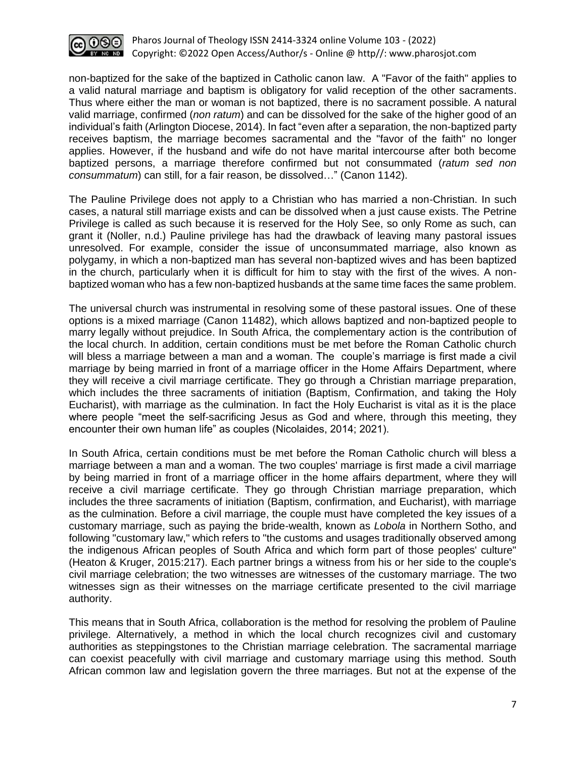

non-baptized for the sake of the baptized in Catholic canon law. A "Favor of the faith" applies to a valid natural marriage and baptism is obligatory for valid reception of the other sacraments. Thus where either the man or woman is not baptized, there is no sacrament possible. A natural valid marriage, confirmed (*non ratum*) and can be dissolved for the sake of the higher good of an individual's faith (Arlington Diocese, 2014). In fact "even after a separation, the non-baptized party receives baptism, the marriage becomes sacramental and the "favor of the faith" no longer applies. However, if the husband and wife do not have marital intercourse after both become baptized persons, a marriage therefore confirmed but not consummated (*ratum sed non consummatum*) can still, for a fair reason, be dissolved…" (Canon 1142).

The Pauline Privilege does not apply to a Christian who has married a non-Christian. In such cases, a natural still marriage exists and can be dissolved when a just cause exists. The Petrine Privilege is called as such because it is reserved for the Holy See, so only Rome as such, can grant it (Noller, n.d.) Pauline privilege has had the drawback of leaving many pastoral issues unresolved. For example, consider the issue of unconsummated marriage, also known as polygamy, in which a non-baptized man has several non-baptized wives and has been baptized in the church, particularly when it is difficult for him to stay with the first of the wives. A nonbaptized woman who has a few non-baptized husbands at the same time faces the same problem.

The universal church was instrumental in resolving some of these pastoral issues. One of these options is a mixed marriage (Canon 11482), which allows baptized and non-baptized people to marry legally without prejudice. In South Africa, the complementary action is the contribution of the local church. In addition, certain conditions must be met before the Roman Catholic church will bless a marriage between a man and a woman. The couple's marriage is first made a civil marriage by being married in front of a marriage officer in the Home Affairs Department, where they will receive a civil marriage certificate. They go through a Christian marriage preparation, which includes the three sacraments of initiation (Baptism, Confirmation, and taking the Holy Eucharist), with marriage as the culmination. In fact the Holy Eucharist is vital as it is the place where people "meet the self-sacrificing Jesus as God and where, through this meeting, they encounter their own human life" as couples (Nicolaides, 2014; 2021).

In South Africa, certain conditions must be met before the Roman Catholic church will bless a marriage between a man and a woman. The two couples' marriage is first made a civil marriage by being married in front of a marriage officer in the home affairs department, where they will receive a civil marriage certificate. They go through Christian marriage preparation, which includes the three sacraments of initiation (Baptism, confirmation, and Eucharist), with marriage as the culmination. Before a civil marriage, the couple must have completed the key issues of a customary marriage, such as paying the bride-wealth, known as *Lobola* in Northern Sotho, and following "customary law," which refers to "the customs and usages traditionally observed among the indigenous African peoples of South Africa and which form part of those peoples' culture" (Heaton & Kruger, 2015:217). Each partner brings a witness from his or her side to the couple's civil marriage celebration; the two witnesses are witnesses of the customary marriage. The two witnesses sign as their witnesses on the marriage certificate presented to the civil marriage authority.

This means that in South Africa, collaboration is the method for resolving the problem of Pauline privilege. Alternatively, a method in which the local church recognizes civil and customary authorities as steppingstones to the Christian marriage celebration. The sacramental marriage can coexist peacefully with civil marriage and customary marriage using this method. South African common law and legislation govern the three marriages. But not at the expense of the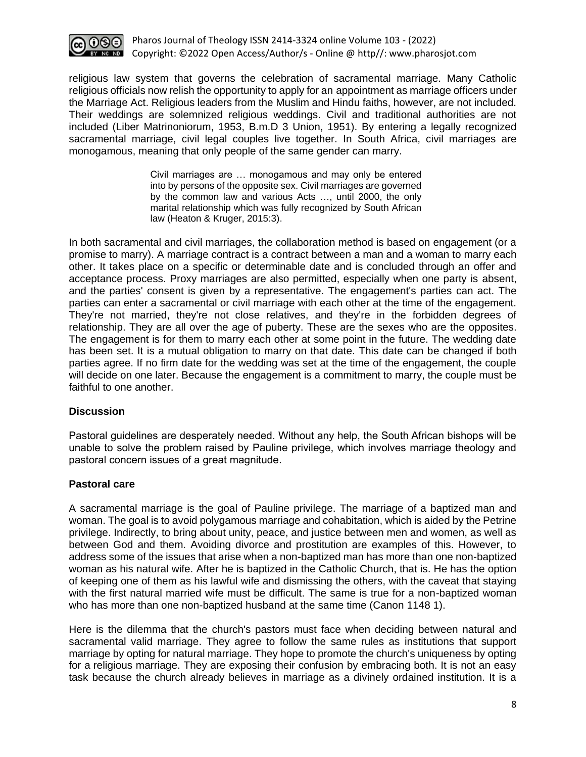

religious law system that governs the celebration of sacramental marriage. Many Catholic religious officials now relish the opportunity to apply for an appointment as marriage officers under the Marriage Act. Religious leaders from the Muslim and Hindu faiths, however, are not included. Their weddings are solemnized religious weddings. Civil and traditional authorities are not included (Liber Matrinoniorum, 1953, B.m.D 3 Union, 1951). By entering a legally recognized sacramental marriage, civil legal couples live together. In South Africa, civil marriages are monogamous, meaning that only people of the same gender can marry.

> Civil marriages are … monogamous and may only be entered into by persons of the opposite sex. Civil marriages are governed by the common law and various Acts …, until 2000, the only marital relationship which was fully recognized by South African law (Heaton & Kruger, 2015:3).

In both sacramental and civil marriages, the collaboration method is based on engagement (or a promise to marry). A marriage contract is a contract between a man and a woman to marry each other. It takes place on a specific or determinable date and is concluded through an offer and acceptance process. Proxy marriages are also permitted, especially when one party is absent, and the parties' consent is given by a representative. The engagement's parties can act. The parties can enter a sacramental or civil marriage with each other at the time of the engagement. They're not married, they're not close relatives, and they're in the forbidden degrees of relationship. They are all over the age of puberty. These are the sexes who are the opposites. The engagement is for them to marry each other at some point in the future. The wedding date has been set. It is a mutual obligation to marry on that date. This date can be changed if both parties agree. If no firm date for the wedding was set at the time of the engagement, the couple will decide on one later. Because the engagement is a commitment to marry, the couple must be faithful to one another.

# **Discussion**

Pastoral guidelines are desperately needed. Without any help, the South African bishops will be unable to solve the problem raised by Pauline privilege, which involves marriage theology and pastoral concern issues of a great magnitude.

# **Pastoral care**

A sacramental marriage is the goal of Pauline privilege. The marriage of a baptized man and woman. The goal is to avoid polygamous marriage and cohabitation, which is aided by the Petrine privilege. Indirectly, to bring about unity, peace, and justice between men and women, as well as between God and them. Avoiding divorce and prostitution are examples of this. However, to address some of the issues that arise when a non-baptized man has more than one non-baptized woman as his natural wife. After he is baptized in the Catholic Church, that is. He has the option of keeping one of them as his lawful wife and dismissing the others, with the caveat that staying with the first natural married wife must be difficult. The same is true for a non-baptized woman who has more than one non-baptized husband at the same time (Canon 1148 1).

Here is the dilemma that the church's pastors must face when deciding between natural and sacramental valid marriage. They agree to follow the same rules as institutions that support marriage by opting for natural marriage. They hope to promote the church's uniqueness by opting for a religious marriage. They are exposing their confusion by embracing both. It is not an easy task because the church already believes in marriage as a divinely ordained institution. It is a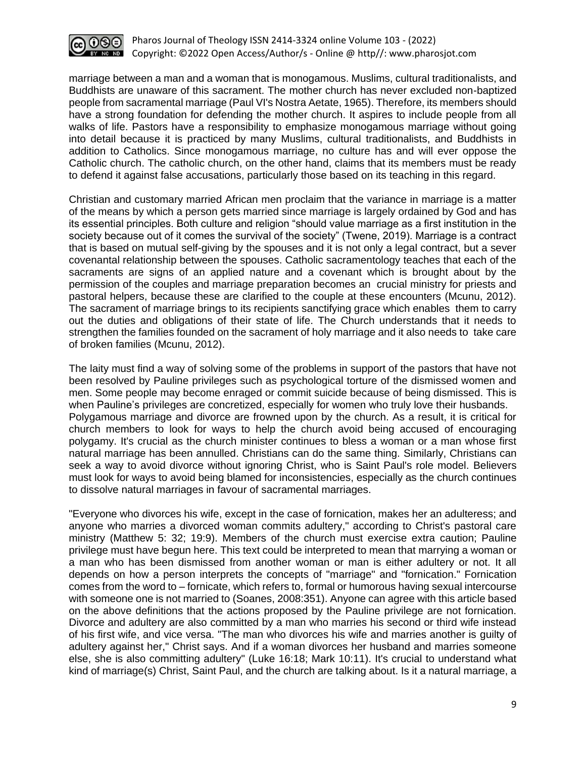

marriage between a man and a woman that is monogamous. Muslims, cultural traditionalists, and Buddhists are unaware of this sacrament. The mother church has never excluded non-baptized people from sacramental marriage (Paul VI's Nostra Aetate, 1965). Therefore, its members should have a strong foundation for defending the mother church. It aspires to include people from all walks of life. Pastors have a responsibility to emphasize monogamous marriage without going into detail because it is practiced by many Muslims, cultural traditionalists, and Buddhists in addition to Catholics. Since monogamous marriage, no culture has and will ever oppose the Catholic church. The catholic church, on the other hand, claims that its members must be ready to defend it against false accusations, particularly those based on its teaching in this regard.

Christian and customary married African men proclaim that the variance in marriage is a matter of the means by which a person gets married since marriage is largely ordained by God and has its essential principles. Both culture and religion "should value marriage as a first institution in the society because out of it comes the survival of the society" (Twene, 2019). Marriage is a contract that is based on mutual self-giving by the spouses and it is not only a legal contract, but a sever covenantal relationship between the spouses. Catholic sacramentology teaches that each of the sacraments are signs of an applied nature and a covenant which is brought about by the permission of the couples and marriage preparation becomes an crucial ministry for priests and pastoral helpers, because these are clarified to the couple at these encounters (Mcunu, 2012). The sacrament of marriage brings to its recipients sanctifying grace which enables them to carry out the duties and obligations of their state of life. The Church understands that it needs to strengthen the families founded on the sacrament of holy marriage and it also needs to take care of broken families (Mcunu, 2012).

The laity must find a way of solving some of the problems in support of the pastors that have not been resolved by Pauline privileges such as psychological torture of the dismissed women and men. Some people may become enraged or commit suicide because of being dismissed. This is when Pauline's privileges are concretized, especially for women who truly love their husbands. Polygamous marriage and divorce are frowned upon by the church. As a result, it is critical for church members to look for ways to help the church avoid being accused of encouraging polygamy. It's crucial as the church minister continues to bless a woman or a man whose first natural marriage has been annulled. Christians can do the same thing. Similarly, Christians can seek a way to avoid divorce without ignoring Christ, who is Saint Paul's role model. Believers must look for ways to avoid being blamed for inconsistencies, especially as the church continues to dissolve natural marriages in favour of sacramental marriages.

"Everyone who divorces his wife, except in the case of fornication, makes her an adulteress; and anyone who marries a divorced woman commits adultery," according to Christ's pastoral care ministry (Matthew 5: 32; 19:9). Members of the church must exercise extra caution; Pauline privilege must have begun here. This text could be interpreted to mean that marrying a woman or a man who has been dismissed from another woman or man is either adultery or not. It all depends on how a person interprets the concepts of "marriage" and "fornication." Fornication comes from the word to – fornicate, which refers to, formal or humorous having sexual intercourse with someone one is not married to (Soanes, 2008:351). Anyone can agree with this article based on the above definitions that the actions proposed by the Pauline privilege are not fornication. Divorce and adultery are also committed by a man who marries his second or third wife instead of his first wife, and vice versa. "The man who divorces his wife and marries another is guilty of adultery against her," Christ says. And if a woman divorces her husband and marries someone else, she is also committing adultery" (Luke 16:18; Mark 10:11). It's crucial to understand what kind of marriage(s) Christ, Saint Paul, and the church are talking about. Is it a natural marriage, a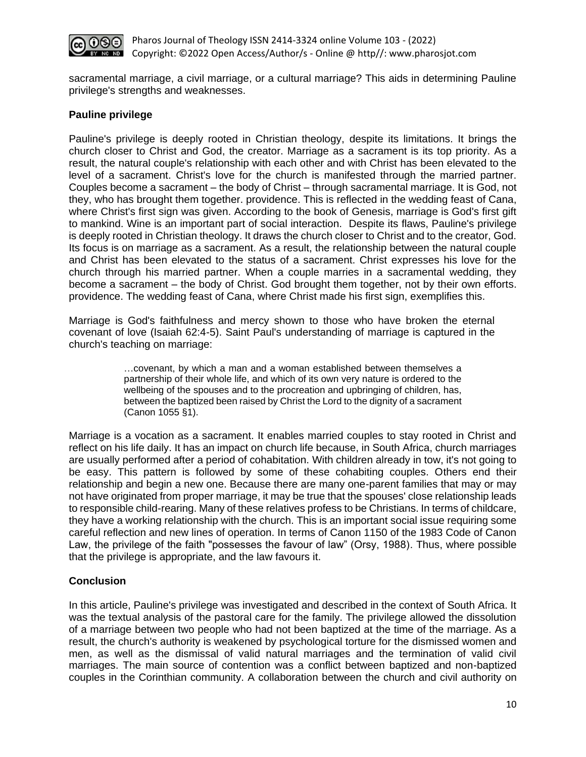

sacramental marriage, a civil marriage, or a cultural marriage? This aids in determining Pauline privilege's strengths and weaknesses.

#### **Pauline privilege**

Pauline's privilege is deeply rooted in Christian theology, despite its limitations. It brings the church closer to Christ and God, the creator. Marriage as a sacrament is its top priority. As a result, the natural couple's relationship with each other and with Christ has been elevated to the level of a sacrament. Christ's love for the church is manifested through the married partner. Couples become a sacrament – the body of Christ – through sacramental marriage. It is God, not they, who has brought them together. providence. This is reflected in the wedding feast of Cana, where Christ's first sign was given. According to the book of Genesis, marriage is God's first gift to mankind. Wine is an important part of social interaction. Despite its flaws, Pauline's privilege is deeply rooted in Christian theology. It draws the church closer to Christ and to the creator, God. Its focus is on marriage as a sacrament. As a result, the relationship between the natural couple and Christ has been elevated to the status of a sacrament. Christ expresses his love for the church through his married partner. When a couple marries in a sacramental wedding, they become a sacrament – the body of Christ. God brought them together, not by their own efforts. providence. The wedding feast of Cana, where Christ made his first sign, exemplifies this.

Marriage is God's faithfulness and mercy shown to those who have broken the eternal covenant of love (Isaiah 62:4-5). Saint Paul's understanding of marriage is captured in the church's teaching on marriage:

> …covenant, by which a man and a woman established between themselves a partnership of their whole life, and which of its own very nature is ordered to the wellbeing of the spouses and to the procreation and upbringing of children, has, between the baptized been raised by Christ the Lord to the dignity of a sacrament (Canon 1055 §1).

Marriage is a vocation as a sacrament. It enables married couples to stay rooted in Christ and reflect on his life daily. It has an impact on church life because, in South Africa, church marriages are usually performed after a period of cohabitation. With children already in tow, it's not going to be easy. This pattern is followed by some of these cohabiting couples. Others end their relationship and begin a new one. Because there are many one-parent families that may or may not have originated from proper marriage, it may be true that the spouses' close relationship leads to responsible child-rearing. Many of these relatives profess to be Christians. In terms of childcare, they have a working relationship with the church. This is an important social issue requiring some careful reflection and new lines of operation. In terms of Canon 1150 of the 1983 Code of Canon Law, the privilege of the faith "possesses the favour of law" (Orsy, 1988). Thus, where possible that the privilege is appropriate, and the law favours it.

# **Conclusion**

In this article, Pauline's privilege was investigated and described in the context of South Africa. It was the textual analysis of the pastoral care for the family. The privilege allowed the dissolution of a marriage between two people who had not been baptized at the time of the marriage. As a result, the church's authority is weakened by psychological torture for the dismissed women and men, as well as the dismissal of valid natural marriages and the termination of valid civil marriages. The main source of contention was a conflict between baptized and non-baptized couples in the Corinthian community. A collaboration between the church and civil authority on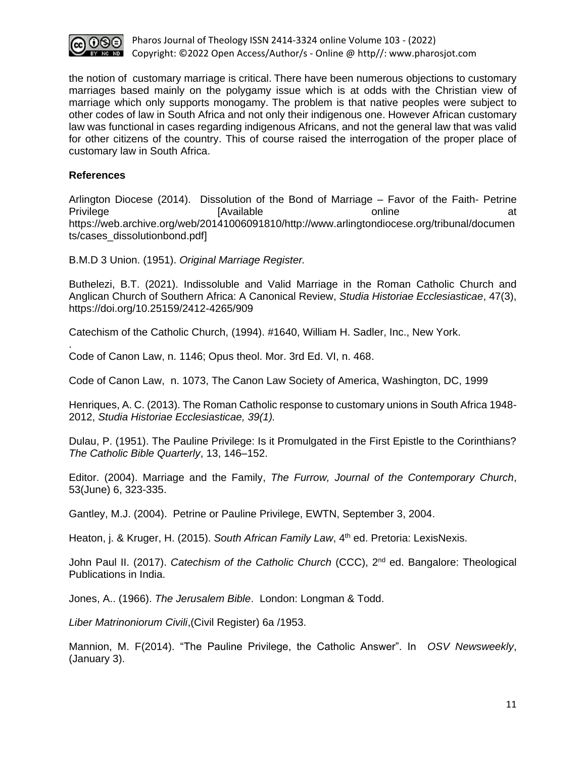

the notion of customary marriage is critical. There have been numerous objections to customary marriages based mainly on the polygamy issue which is at odds with the Christian view of marriage which only supports monogamy. The problem is that native peoples were subject to other codes of law in South Africa and not only their indigenous one. However African customary law was functional in cases regarding indigenous Africans, and not the general law that was valid for other citizens of the country. This of course raised the interrogation of the proper place of customary law in South Africa.

## **References**

.

Arlington Diocese (2014). Dissolution of the Bond of Marriage – Favor of the Faith- Petrine Privilege and a controller controller controller and a controller controller and a controller controller controller and a controller controller controller controller and a controller controller controller controller contro https://web.archive.org/web/20141006091810/http://www.arlingtondiocese.org/tribunal/documen ts/cases\_dissolutionbond.pdf]

B.M.D 3 Union. (1951). *Original Marriage Register.*

Buthelezi, B.T. (2021). Indissoluble and Valid Marriage in the Roman Catholic Church and Anglican Church of Southern Africa: A Canonical Review, *Studia Historiae Ecclesiasticae*, 47(3), https://doi.org/10.25159/2412-4265/909

Catechism of the Catholic Church, (1994). #1640, William H. Sadler, Inc., New York.

Code of Canon Law, n. 1146; Opus theol. Mor. 3rd Ed. VI, n. 468.

Code of Canon Law, n. 1073, The Canon Law Society of America, Washington, DC, 1999

Henriques, A. C. (2013). The Roman Catholic response to customary unions in South Africa 1948- 2012, *Studia Historiae Ecclesiasticae, 39(1).*

Dulau, P. (1951). The Pauline Privilege: Is it Promulgated in the First Epistle to the Corinthians? *The Catholic Bible Quarterly*, 13, 146–152.

Editor. (2004). Marriage and the Family, *The Furrow, Journal of the Contemporary Church*, 53(June) 6, 323-335.

Gantley, M.J. (2004). Petrine or Pauline Privilege, EWTN, September 3, 2004.

Heaton, j. & Kruger, H. (2015). *South African Family Law*, 4<sup>th</sup> ed. Pretoria: LexisNexis.

John Paul II. (2017). *Catechism of the Catholic Church* (CCC), 2<sup>nd</sup> ed. Bangalore: Theological Publications in India.

Jones, A.. (1966). *The Jerusalem Bible*. London: Longman & Todd.

*Liber Matrinoniorum Civili*,(Civil Register) 6a /1953.

Mannion, M. F(2014). "The Pauline Privilege, the Catholic Answer". In *OSV Newsweekly*, (January 3).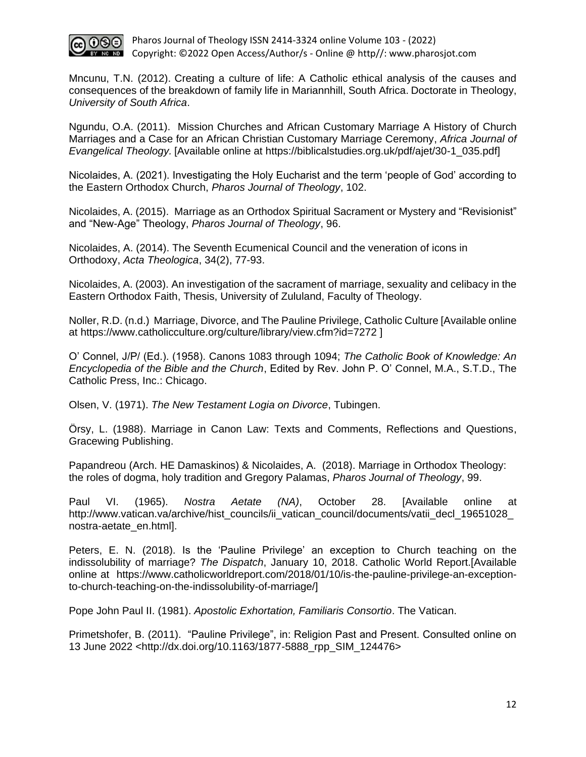

Mncunu, T.N. (2012). Creating a culture of life: A Catholic ethical analysis of the causes and consequences of the breakdown of family life in Mariannhill, South Africa. Doctorate in Theology, *University of South Africa*.

Ngundu, O.A. (2011). Mission Churches and African Customary Marriage A History of Church Marriages and a Case for an African Christian Customary Marriage Ceremony, *Africa Journal of Evangelical Theology.* [Available online at https://biblicalstudies.org.uk/pdf/ajet/30-1\_035.pdf]

Nicolaides, A. (2021). Investigating the Holy Eucharist and the term 'people of God' according to the Eastern Orthodox Church, *Pharos Journal of Theology*, 102.

Nicolaides, A. (2015). Marriage as an Orthodox Spiritual Sacrament or Mystery and "Revisionist" and "New-Age" Theology, *Pharos Journal of Theology*, 96.

Nicolaides, A. (2014). The Seventh Ecumenical Council and the veneration of icons in Orthodoxy, *Acta Theologica*, 34(2), 77-93.

Nicolaides, A. (2003). An investigation of the sacrament of marriage, sexuality and celibacy in the Eastern Orthodox Faith, Thesis, University of Zululand, Faculty of Theology.

Noller, R.D. (n.d.) Marriage, Divorce, and The Pauline Privilege, Catholic Culture [Available online at https://www.catholicculture.org/culture/library/view.cfm?id=7272 ]

O' Connel, J/P/ (Ed.). (1958). Canons 1083 through 1094; *The Catholic Book of Knowledge: An Encyclopedia of the Bible and the Church*, Edited by Rev. John P. O' Connel, M.A., S.T.D., The Catholic Press, Inc.: Chicago.

Olsen, V. (1971). *The New Testament Logia on Divorce*, Tubingen.

Örsy, L. (1988). Marriage in Canon Law: Texts and Comments, Reflections and Questions, Gracewing Publishing.

Papandreou (Arch. HE Damaskinos) & Nicolaides, A. (2018). Marriage in Orthodox Theology: the roles of dogma, holy tradition and Gregory Palamas, *Pharos Journal of Theology*, 99.

Paul VI. (1965). *Nostra Aetate (NA)*, October 28. [Available online at http://www.vatican.va/archive/hist\_councils/ii\_vatican\_council/documents/vatii\_decl\_19651028 [nostra-aetate\\_en.html\]](http://www.vatican.va/archive/hist_councils/ii_vatican_council/documents/vatii_decl_19651028_nostra-aetate_en.html).

Peters, E. N. (2018). Is the 'Pauline Privilege' an exception to Church teaching on the indissolubility of marriage? *The Dispatch*, January 10, 2018. Catholic World Report.[Available online at https://www.catholicworldreport.com/2018/01/10/is-the-pauline-privilege-an-exceptionto-church-teaching-on-the-indissolubility-of-marriage/]

Pope John Paul II. (1981). *Apostolic Exhortation, Familiaris Consortio*. The Vatican.

Primetshofer, B. (2011). "Pauline Privilege", in: Religion Past and Present. Consulted online on 13 June 2022 <http://dx.doi.org/10.1163/1877-5888\_rpp\_SIM\_124476>